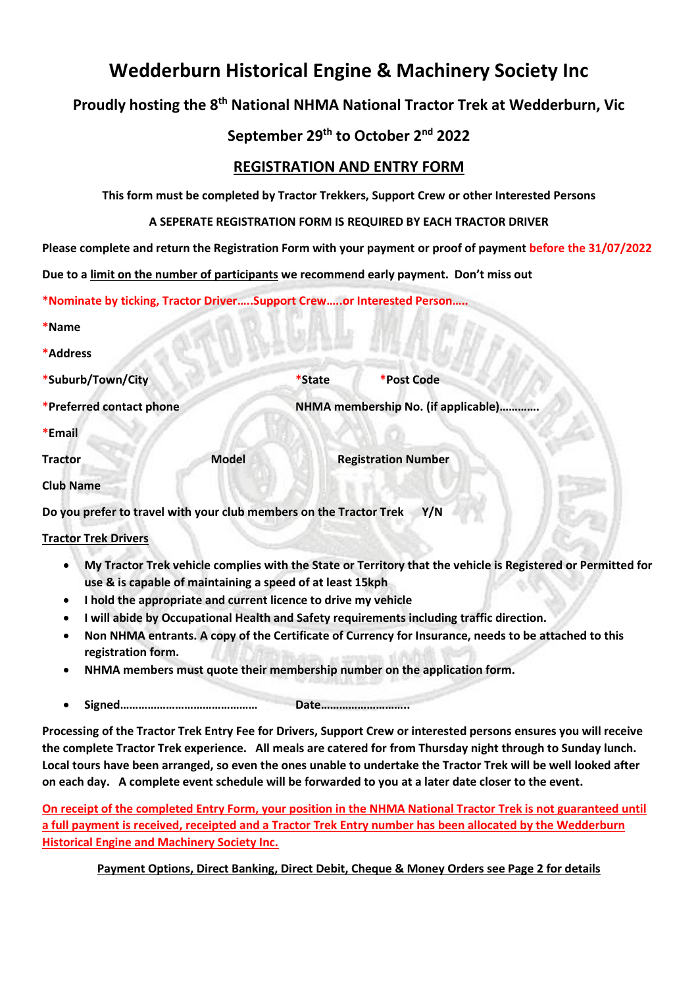# **Wedderburn Historical Engine & Machinery Society Inc**

# **Proudly hosting the 8th National NHMA National Tractor Trek at Wedderburn, Vic**

# **September 29th to October 2 nd 2022**

## **REGISTRATION AND ENTRY FORM**

**This form must be completed by Tractor Trekkers, Support Crew or other Interested Persons**

### **A SEPERATE REGISTRATION FORM IS REQUIRED BY EACH TRACTOR DRIVER**

**Please complete and return the Registration Form with your payment or proof of payment before the 31/07/2022**

**Due to a limit on the number of participants we recommend early payment. Don't miss out**

**\*Nominate by ticking, Tractor Driver…..Support Crew…..or Interested Person…..**

**\*Name**

**\*Address**

| *Suburb/Town/City        |              | *Post Code<br>*State                                                      |  |  |  |
|--------------------------|--------------|---------------------------------------------------------------------------|--|--|--|
| *Preferred contact phone |              | NHMA membership No. (if applicable)                                       |  |  |  |
| *Email                   |              |                                                                           |  |  |  |
| <b>Tractor</b>           | <b>Model</b> | <b>Registration Number</b>                                                |  |  |  |
| <b>Club Name</b>         |              |                                                                           |  |  |  |
|                          |              | Do you prefer to travel with your club members on the Tractor Trek<br>Y/N |  |  |  |

**Tractor Trek Drivers**

- **My Tractor Trek vehicle complies with the State or Territory that the vehicle is Registered or Permitted for use & is capable of maintaining a speed of at least 15kph**
- **I hold the appropriate and current licence to drive my vehicle**
- **I will abide by Occupational Health and Safety requirements including traffic direction.**
- **Non NHMA entrants. A copy of the Certificate of Currency for Insurance, needs to be attached to this registration form.**
- **NHMA members must quote their membership number on the application form.**
- **Signed……………………………………… Date………………………..**

**Processing of the Tractor Trek Entry Fee for Drivers, Support Crew or interested persons ensures you will receive the complete Tractor Trek experience. All meals are catered for from Thursday night through to Sunday lunch. Local tours have been arranged, so even the ones unable to undertake the Tractor Trek will be well looked after on each day. A complete event schedule will be forwarded to you at a later date closer to the event.**

**On receipt of the completed Entry Form, your position in the NHMA National Tractor Trek is not guaranteed until a full payment is received, receipted and a Tractor Trek Entry number has been allocated by the Wedderburn Historical Engine and Machinery Society Inc.**

**Payment Options, Direct Banking, Direct Debit, Cheque & Money Orders see Page 2 for details**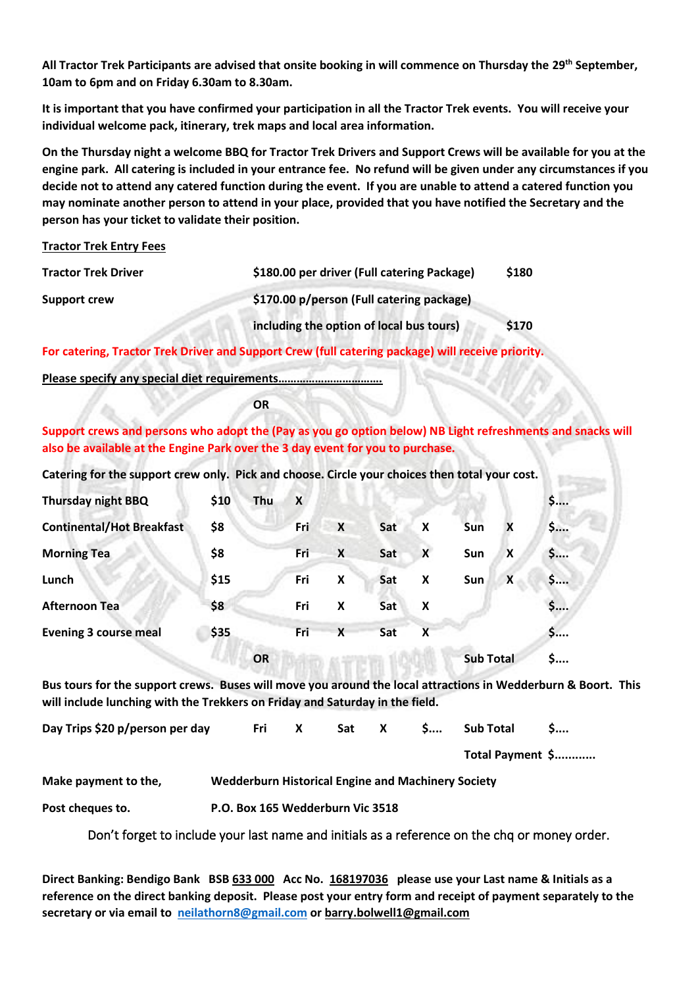**All Tractor Trek Participants are advised that onsite booking in will commence on Thursday the 29th September, 10am to 6pm and on Friday 6.30am to 8.30am.**

**It is important that you have confirmed your participation in all the Tractor Trek events. You will receive your individual welcome pack, itinerary, trek maps and local area information.**

**On the Thursday night a welcome BBQ for Tractor Trek Drivers and Support Crews will be available for you at the engine park. All catering is included in your entrance fee. No refund will be given under any circumstances if you decide not to attend any catered function during the event. If you are unable to attend a catered function you may nominate another person to attend in your place, provided that you have notified the Secretary and the person has your ticket to validate their position.**

### **Tractor Trek Entry Fees**

88 Post 2

100 L. L. L. L.

| <b>Tractor Trek Driver</b> | \$180.00 per driver (Full catering Package) | \$180 |
|----------------------------|---------------------------------------------|-------|
| Support crew               | \$170.00 p/person (Full catering package)   |       |
|                            | including the option of local bus tours)    | \$170 |

**For catering, Tractor Trek Driver and Support Crew (full catering package) will receive priority.**

**Please specify any special diet requirements…………………………….**

**OR**

**Support crews and persons who adopt the (Pay as you go option below) NB Light refreshments and snacks will also be available at the Engine Park over the 3 day event for you to purchase.**

| Catering for the support crew only. Pick and choose. Circle your choices then total your cost. |  |  |
|------------------------------------------------------------------------------------------------|--|--|
|                                                                                                |  |  |

| <b>Thursday night BBQ</b>        | \$10 | Thu       | X   |   |     |   |                  |                           | \$ |
|----------------------------------|------|-----------|-----|---|-----|---|------------------|---------------------------|----|
| <b>Continental/Hot Breakfast</b> | \$8  |           | Fri | X | Sat | X | Sun              | X                         | \$ |
| <b>Morning Tea</b>               | \$8  |           | Fri | X | Sat | X | Sun              | X                         | \$ |
| Lunch                            | \$15 |           | Fri | X | Sat | X | Sun              | $\boldsymbol{\mathsf{x}}$ | \$ |
| <b>Afternoon Tea</b>             | \$8  |           | Fri | X | Sat | X |                  |                           | \$ |
| <b>Evening 3 course meal</b>     | \$35 |           | Fri | X | Sat | X |                  |                           | \$ |
|                                  |      | <b>OR</b> |     |   |     |   | <b>Sub Total</b> |                           | \$ |

**Bus tours for the support crews. Buses will move you around the local attractions in Wedderburn & Boort. This will include lunching with the Trekkers on Friday and Saturday in the field.**

**Day Trips \$20 p/person per day Fri X Sat X \$.... Sub Total \$....**

**Total Payment \$............**

**Make payment to the, Wedderburn Historical Engine and Machinery Society**

**Post cheques to. P.O. Box 165 Wedderburn Vic 3518**

Don't forget to include your last name and initials as a reference on the chq or money order.

**Direct Banking: Bendigo Bank BSB 633 000 Acc No. 168197036 please use your Last name & Initials as a reference on the direct banking deposit. Please post your entry form and receipt of payment separately to the secretary or via email to [neilathorn8@gmail.com](mailto:neilathorn8@gmail.com) or barry.bolwell1@gmail.com**